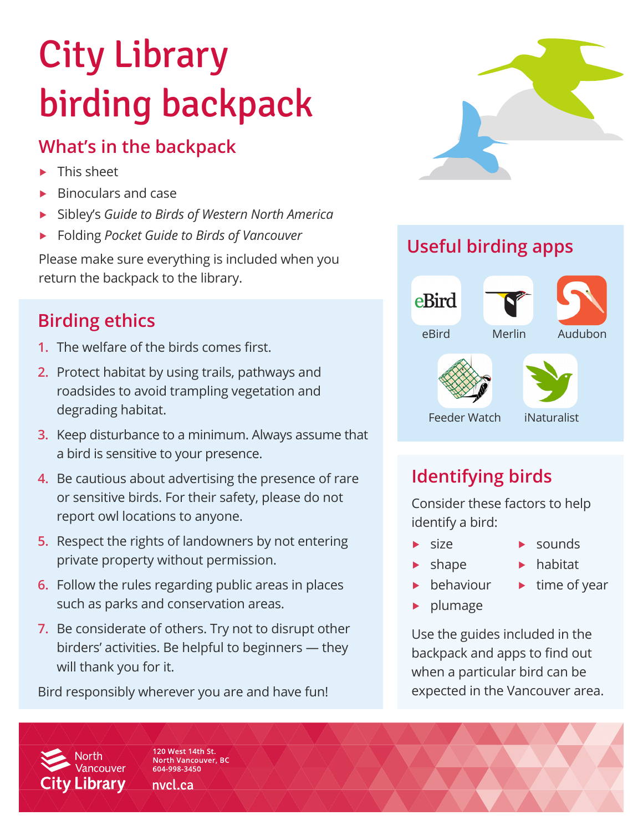# City Library birding backpack

## **What's in the backpack**

- This sheet
- ▶ Binoculars and case
- ▶ Sibley's *Guide to Birds of Western North America*
- ▶ Folding *Pocket Guide to Birds of Vancouver*

Please make sure everything is included when you return the backpack to the library.

## **Birding ethics**

- **1.** The welfare of the birds comes first.
- **2.** Protect habitat by using trails, pathways and roadsides to avoid trampling vegetation and degrading habitat.
- **3.** Keep disturbance to a minimum. Always assume that a bird is sensitive to your presence.
- **4.** Be cautious about advertising the presence of rare or sensitive birds. For their safety, please do not report owl locations to anyone.
- **5.** Respect the rights of landowners by not entering private property without permission.
- **6.** Follow the rules regarding public areas in places such as parks and conservation areas.
- **7.** Be considerate of others. Try not to disrupt other birders' activities. Be helpful to beginners — they will thank you for it.

Bird responsibly wherever you are and have fun!



# **Useful birding apps**



## **Identifying birds**

Consider these factors to help identify a bird:

- $\blacktriangleright$  size
	-
	- shape
- $\blacktriangleright$  habitat

▶ sounds

- ▶ behaviour  $\blacktriangleright$  time of year
- plumage

Use the guides included in the backpack and apps to find out when a particular bird can be expected in the Vancouver area.

120 West 14th St. **North Vancouver, BC** 604-998-3450

**Vancouver** 

**City Library** 

nvcl.ca